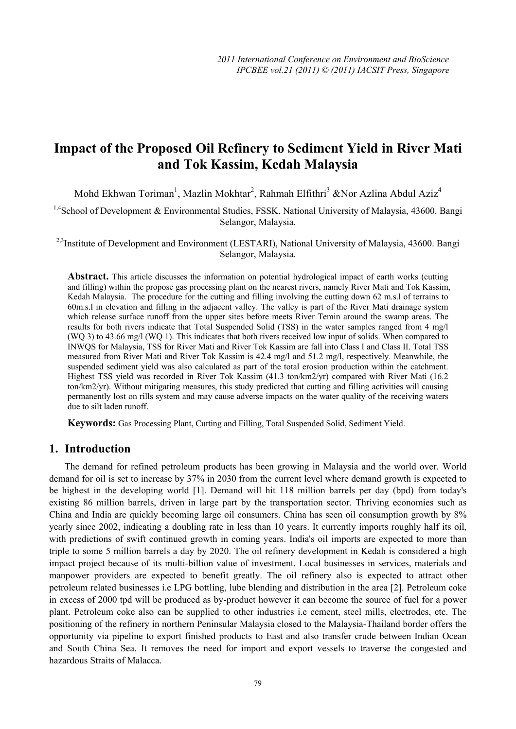# **Impact of the Proposed Oil Refinery to Sediment Yield in River Mati and Tok Kassim, Kedah Malaysia**

Mohd Ekhwan Toriman<sup>1</sup>, Mazlin Mokhtar<sup>2</sup>, Rahmah Elfithri<sup>3</sup> &Nor Azlina Abdul Aziz<sup>4</sup>

<sup>1,4</sup>School of Development & Environmental Studies, FSSK. National University of Malaysia, 43600. Bangi Selangor, Malaysia.

<sup>2,3</sup>Institute of Development and Environment (LESTARI), National University of Malaysia, 43600. Bangi Selangor, Malaysia.

**Abstract.** This article discusses the information on potential hydrological impact of earth works (cutting and filling) within the propose gas processing plant on the nearest rivers, namely River Mati and Tok Kassim, Kedah Malaysia. The procedure for the cutting and filling involving the cutting down 62 m.s.l of terrains to 60m.s.l in elevation and filling in the adjacent valley. The valley is part of the River Mati drainage system which release surface runoff from the upper sites before meets River Temin around the swamp areas. The results for both rivers indicate that Total Suspended Solid (TSS) in the water samples ranged from 4 mg/l (WQ 3) to 43.66 mg/l (WQ 1). This indicates that both rivers received low input of solids. When compared to INWQS for Malaysia, TSS for River Mati and River Tok Kassim are fall into Class I and Class II. Total TSS measured from River Mati and River Tok Kassim is 42.4 mg/l and 51.2 mg/l, respectively. Meanwhile, the suspended sediment yield was also calculated as part of the total erosion production within the catchment. Highest TSS yield was recorded in River Tok Kassim (41.3 ton/km2/yr) compared with River Mati (16.2 ton/km2/yr). Without mitigating measures, this study predicted that cutting and filling activities will causing permanently lost on rills system and may cause adverse impacts on the water quality of the receiving waters due to silt laden runoff.

**Keywords:** Gas Processing Plant, Cutting and Filling, Total Suspended Solid, Sediment Yield.

## **1. Introduction**

The demand for refined petroleum products has been growing in Malaysia and the world over. World demand for oil is set to increase by 37% in 2030 from the current level where demand growth is expected to be highest in the developing world [1]. Demand will hit 118 million barrels per day (bpd) from today's existing 86 million barrels, driven in large part by the transportation sector. Thriving economies such as China and India are quickly becoming large oil consumers. China has seen oil consumption growth by 8% yearly since 2002, indicating a doubling rate in less than 10 years. It currently imports roughly half its oil, with predictions of swift continued growth in coming years. India's oil imports are expected to more than triple to some 5 million barrels a day by 2020. The oil refinery development in Kedah is considered a high impact project because of its multi-billion value of investment. Local businesses in services, materials and manpower providers are expected to benefit greatly. The oil refinery also is expected to attract other petroleum related businesses i.e LPG bottling, lube blending and distribution in the area [2]. Petroleum coke in excess of 2000 tpd will be produced as by-product however it can become the source of fuel for a power plant. Petroleum coke also can be supplied to other industries i.e cement, steel mills, electrodes, etc. The positioning of the refinery in northern Peninsular Malaysia closed to the Malaysia-Thailand border offers the opportunity via pipeline to export finished products to East and also transfer crude between Indian Ocean and South China Sea. It removes the need for import and export vessels to traverse the congested and hazardous Straits of Malacca.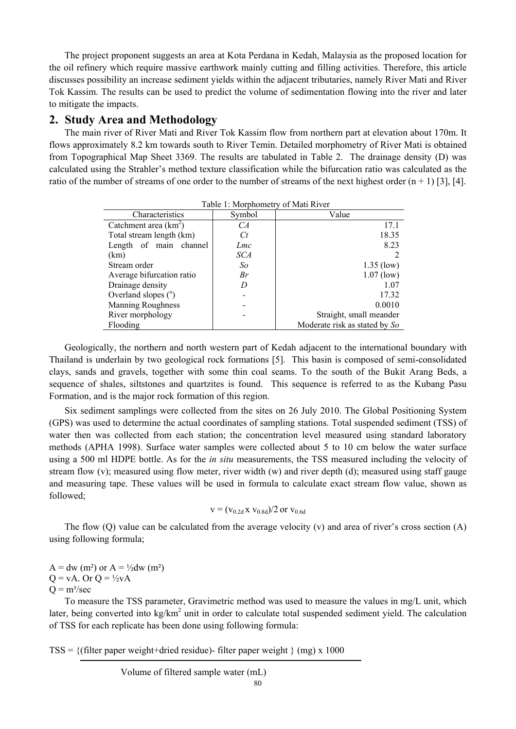The project proponent suggests an area at Kota Perdana in Kedah, Malaysia as the proposed location for the oil refinery which require massive earthwork mainly cutting and filling activities. Therefore, this article discusses possibility an increase sediment yields within the adjacent tributaries, namely River Mati and River Tok Kassim. The results can be used to predict the volume of sedimentation flowing into the river and later to mitigate the impacts.

## **2. Study Area and Methodology**

The main river of River Mati and River Tok Kassim flow from northern part at elevation about 170m. It flows approximately 8.2 km towards south to River Temin. Detailed morphometry of River Mati is obtained from Topographical Map Sheet 3369. The results are tabulated in Table 2. The drainage density (D) was calculated using the Strahler's method texture classification while the bifurcation ratio was calculated as the ratio of the number of streams of one order to the number of streams of the next highest order  $(n + 1)$  [3], [4].

| I AVIC 1. IVIOI DHOIHCH V OI IVIAH INIVCI |        |                               |  |  |
|-------------------------------------------|--------|-------------------------------|--|--|
| Characteristics                           | Symbol | Value                         |  |  |
| Catchment area $(km^2)$                   | CА     | 17.1                          |  |  |
| Total stream length (km)                  | C t    | 18.35                         |  |  |
| Length of main channel                    | Lmc    | 8.23                          |  |  |
| (km)                                      | SCA    |                               |  |  |
| Stream order                              | So     | $1.35$ (low)                  |  |  |
| Average bifurcation ratio                 | Br     | $1.07$ (low)                  |  |  |
| Drainage density                          | I)     | 1.07                          |  |  |
| Overland slopes $(°)$                     |        | 17.32                         |  |  |
| <b>Manning Roughness</b>                  |        | 0.0010                        |  |  |
| River morphology                          |        | Straight, small meander       |  |  |
| Flooding                                  |        | Moderate risk as stated by So |  |  |

Table 1: Morphometry of Mati River

Geologically, the northern and north western part of Kedah adjacent to the international boundary with Thailand is underlain by two geological rock formations [5]. This basin is composed of semi-consolidated clays, sands and gravels, together with some thin coal seams. To the south of the Bukit Arang Beds, a sequence of shales, siltstones and quartzites is found. This sequence is referred to as the Kubang Pasu Formation, and is the major rock formation of this region.

Six sediment samplings were collected from the sites on 26 July 2010. The Global Positioning System (GPS) was used to determine the actual coordinates of sampling stations. Total suspended sediment (TSS) of water then was collected from each station; the concentration level measured using standard laboratory methods (APHA 1998). Surface water samples were collected about 5 to 10 cm below the water surface using a 500 ml HDPE bottle. As for the *in situ* measurements, the TSS measured including the velocity of stream flow  $(v)$ ; measured using flow meter, river width  $(w)$  and river depth (d); measured using staff gauge and measuring tape. These values will be used in formula to calculate exact stream flow value, shown as followed;

$$
v = (v_{0.2d} x v_{0.8d})/2 \text{ or } v_{0.6d}
$$

The flow (O) value can be calculated from the average velocity (v) and area of river's cross section (A) using following formula;

 $A = dw$  (m<sup>2</sup>) or  $A = \frac{1}{2}dw$  (m<sup>2</sup>)  $Q = vA$ . Or  $Q = \frac{1}{2}vA$  $Q = m<sup>3</sup>/sec$ 

To measure the TSS parameter, Gravimetric method was used to measure the values in mg/L unit, which later, being converted into kg/km<sup>2</sup> unit in order to calculate total suspended sediment yield. The calculation of TSS for each replicate has been done using following formula:

 $TSS = \{$ (filter paper weight+dried residue)-filter paper weight  $\}$  (mg) x 1000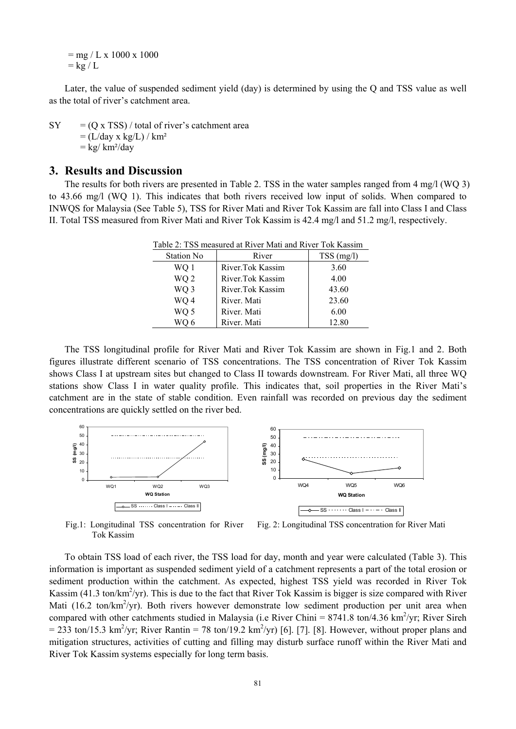$=$  mg / L x 1000 x 1000  $=$  kg / L

Later, the value of suspended sediment yield (day) is determined by using the Q and TSS value as well as the total of river's catchment area.

 $SY = (O \times TSS) / \text{total of river's catchment area}$  $= (L/dav \times kg/L) / km^2$  $=$  kg/ km<sup>2</sup>/day

#### **3. Results and Discussion**

The results for both rivers are presented in Table 2. TSS in the water samples ranged from 4 mg/l (WQ 3) to 43.66 mg/l (WQ 1). This indicates that both rivers received low input of solids. When compared to INWQS for Malaysia (See Table 5), TSS for River Mati and River Tok Kassim are fall into Class I and Class II. Total TSS measured from River Mati and River Tok Kassim is 42.4 mg/l and 51.2 mg/l, respectively.

| <b>Station No</b> | River            | $TSS$ (mg/l) |
|-------------------|------------------|--------------|
| WO 1              | River.Tok Kassim | 3.60         |
| WQ <sub>2</sub>   | River.Tok Kassim | 4.00         |
| WQ 3              | River.Tok Kassim | 43.60        |
| WQ 4              | River, Mati      | 23.60        |
| WQ 5              | River, Mati      | 6.00         |
|                   | River. Mati      | 12.80        |

Table 2: TSS measured at River Mati and River Tok Kassim

The TSS longitudinal profile for River Mati and River Tok Kassim are shown in Fig.1 and 2. Both figures illustrate different scenario of TSS concentrations. The TSS concentration of River Tok Kassim shows Class I at upstream sites but changed to Class II towards downstream. For River Mati, all three WQ stations show Class I in water quality profile. This indicates that, soil properties in the River Mati's catchment are in the state of stable condition. Even rainfall was recorded on previous day the sediment concentrations are quickly settled on the river bed.



Fig.1: Longitudinal TSS concentration for River Tok Kassim Fig. 2: Longitudinal TSS concentration for River Mati

To obtain TSS load of each river, the TSS load for day, month and year were calculated (Table 3). This information is important as suspended sediment yield of a catchment represents a part of the total erosion or sediment production within the catchment. As expected, highest TSS yield was recorded in River Tok Kassim (41.3 ton/ $km^2$ /yr). This is due to the fact that River Tok Kassim is bigger is size compared with River Mati (16.2 ton/ $km^2$ /yr). Both rivers however demonstrate low sediment production per unit area when compared with other catchments studied in Malaysia (i.e River Chini =  $8741.8$  ton/4.36 km<sup>2</sup>/yr; River Sireh  $= 233$  ton/15.3 km<sup>2</sup>/yr; River Rantin = 78 ton/19.2 km<sup>2</sup>/yr) [6]. [7]. [8]. However, without proper plans and mitigation structures, activities of cutting and filling may disturb surface runoff within the River Mati and River Tok Kassim systems especially for long term basis.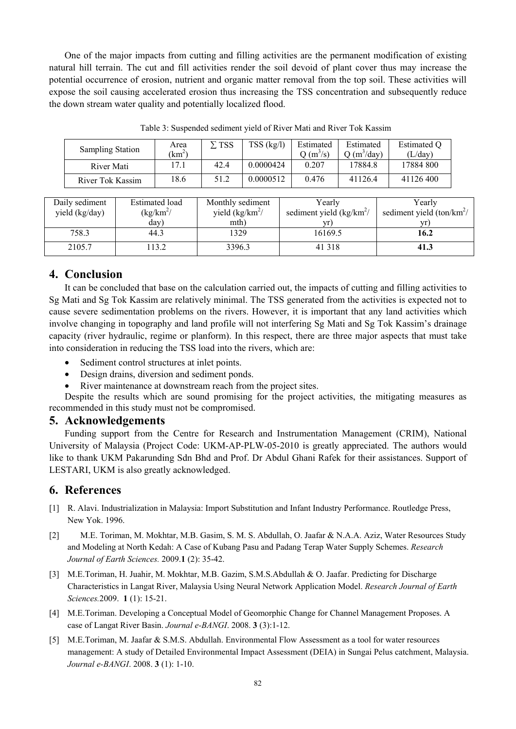One of the major impacts from cutting and filling activities are the permanent modification of existing natural hill terrain. The cut and fill activities render the soil devoid of plant cover thus may increase the potential occurrence of erosion, nutrient and organic matter removal from the top soil. These activities will expose the soil causing accelerated erosion thus increasing the TSS concentration and subsequently reduce the down stream water quality and potentially localized flood.

| <b>Sampling Station</b> | Area<br>$km^2$ | $\Sigma$ TSS | TSS (kg/l) | Estimated<br>$Q(m^3/s)$ | Estimated<br>$(m^3$ /day) | Estimated O<br>(L/day) |
|-------------------------|----------------|--------------|------------|-------------------------|---------------------------|------------------------|
| River Mati              | 7.1            | 42.4         | 0.0000424  | 0.207                   | 17884.8                   | 17884 800              |
| River Tok Kassim        | 8.6            | 51.2         | 0.0000512  | 0.476                   | 41126.4                   | 41126400               |

Table 3: Suspended sediment yield of River Mati and River Tok Kassim

| Daily sediment | <b>Estimated</b> load | Monthly sediment        | Yearly                     | Yearly                      |
|----------------|-----------------------|-------------------------|----------------------------|-----------------------------|
| yield (kg/day) | $(kg/km^2)$           | yield $\frac{kg}{km^2}$ | sediment yield $(kg/km^2)$ | sediment yield $(ton/km^2)$ |
|                | day)                  | mth)                    |                            |                             |
| 758.3          | 44.3                  | 1329                    | 16169.5                    | 16.2                        |
| 2105.7         | 113.2                 | 3396.3                  | 41 3 18                    | 41.3                        |

# **4. Conclusion**

It can be concluded that base on the calculation carried out, the impacts of cutting and filling activities to Sg Mati and Sg Tok Kassim are relatively minimal. The TSS generated from the activities is expected not to cause severe sedimentation problems on the rivers. However, it is important that any land activities which involve changing in topography and land profile will not interfering Sg Mati and Sg Tok Kassim's drainage capacity (river hydraulic, regime or planform). In this respect, there are three major aspects that must take into consideration in reducing the TSS load into the rivers, which are:

- Sediment control structures at inlet points.
- Design drains, diversion and sediment ponds.
- River maintenance at downstream reach from the project sites.

Despite the results which are sound promising for the project activities, the mitigating measures as recommended in this study must not be compromised.

#### **5. Acknowledgements**

Funding support from the Centre for Research and Instrumentation Management (CRIM), National University of Malaysia (Project Code: UKM-AP-PLW-05-2010 is greatly appreciated. The authors would like to thank UKM Pakarunding Sdn Bhd and Prof. Dr Abdul Ghani Rafek for their assistances. Support of LESTARI, UKM is also greatly acknowledged.

# **6. References**

- [1] R. Alavi. Industrialization in Malaysia: Import Substitution and Infant Industry Performance. Routledge Press, New Yok. 1996.
- [2] M.E. Toriman, M. Mokhtar, M.B. Gasim, S. M. S. Abdullah, O. Jaafar & N.A.A. Aziz, Water Resources Study and Modeling at North Kedah: A Case of Kubang Pasu and Padang Terap Water Supply Schemes. *Research Journal of Earth Sciences.* 2009.**1** (2): 35-42.
- [3] M.E.Toriman, H. Juahir, M. Mokhtar, M.B. Gazim, S.M.S.Abdullah & O. Jaafar. Predicting for Discharge Characteristics in Langat River, Malaysia Using Neural Network Application Model. *Research Journal of Earth Sciences.*2009. **1** (1): 15-21.
- [4] M.E.Toriman. Developing a Conceptual Model of Geomorphic Change for Channel Management Proposes. A case of Langat River Basin. *Journal e-BANGI*. 2008. **3** (3):1-12.
- [5] M.E.Toriman, M. Jaafar & S.M.S. Abdullah. Environmental Flow Assessment as a tool for water resources management: A study of Detailed Environmental Impact Assessment (DEIA) in Sungai Pelus catchment, Malaysia. *Journal e-BANGI*. 2008. **3** (1): 1-10.